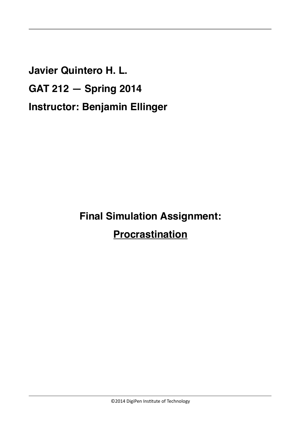**Javier Quintero H. L. GAT 212 — Spring 2014 Instructor: Benjamin Ellinger**

**Final Simulation Assignment:**

**Procrastination**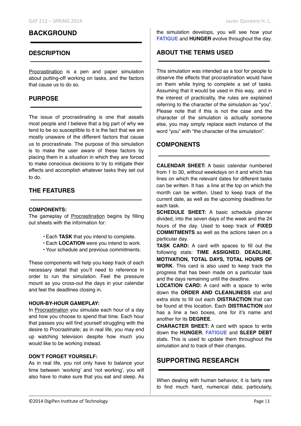# **BACKGROUND**

## **DESCRIPTION**

Procrastination is a pen and paper simulation about putting-off working on tasks, and the factors that cause us to do so.

## **PURPOSE**

The issue of procrastinating is one that assails most people and I believe that a big part of why we tend to be so susceptible to it is the fact that we are mostly unaware of the different factors that cause us to procrastinate. The purpose of this simulation is to make the user aware of these factors by placing them in a situation in which they are forced to make conscious decisions to try to mitigate their effects and accomplish whatever tasks they set out to do.

# **THE FEATURES**

#### **COMPONENTS:**

The gameplay of Procrastination begins by filling out sheets with the information for:

- Each **TASK** that you intend to complete.
- Each **LOCATION** were you intend to work.
- Your schedule and previous commitments.

These components will help you keep track of each necessary detail that you'll need to reference in order to run the simulation. Feel the pressure mount as you cross-out the days in your calendar and feel the deadlines closing in.

### **HOUR-BY-HOUR GAMEPLAY:**

In Procrastination you simulate each hour of a day and how you choose to spend that time. Each hour that passes you will find yourself struggling with the desire to Procrastinate; as in real life, you may end up watching television despite how much you would like to be working instead.

#### **DON'T FORGET YOURSELF:**

As in real life, you not only have to balance your time between 'working' and 'not working', you will also have to make sure that you eat and sleep. As

the simulation develops, you will see how your **FATIGUE** and **HUNGER** evolve throughout the day.

## **ABOUT THE TERMS USED**

This simulation was intended as a tool for people to observe the effects that procrastination would have on them while trying to complete a set of tasks. Assuming that it would be used in this way, and in the interest of practicality, the rules are explained referring to the character of the simulation as "you". Please note that if this is not the case and the character of the simulation is actually someone else, you may simply replace each instance of the word "you" with "the character of the simulation".

## **COMPONENTS**

**CALENDAR SHEET:** A basic calendar numbered from 1 to 30, without weekdays on it and which has lines on which the relevant dates for different tasks can be written. It has a line at the top on which the month can be written. Used to keep track of the current date, as well as the upcoming deadlines for each task.

**SCHEDULE SHEET:** A basic schedule planner divided, into the seven days of the week and the 24 hours of the day. Used to keep track of **FIXED COMMITMENTS** as well as the actions taken on a particular day.

**TASK CARD:** A card with spaces to fill out the following stats: **TIME ASSIGNED**, **DEADLINE**, **MOTIVATION, TOTAL DAYS, TOTAL HOURS OF WORK**. This card is also used to keep track the progress that has been made on a particular task and the days remaining until the deadline.

**LOCATION CARD:** A card with a space to write down the **ORDER AND CLEANLINESS** stat and extra slots to fill out each **DISTRACTION** that can be found at this location. Each **DISTRACTION** slot has a line a two boxes, one for it's name and another for its **DEGREE**.

**CHARACTER SHEET:** A card with space to write down the **HUNGER**, **FATIGUE** and **SLEEP DEBT** stats. This is used to update them throughout the simulation and to track of their changes.

# **SUPPORTING RESEARCH**

When dealing with human behavior, it is fairly rare to find much hard, numerical data; particularly,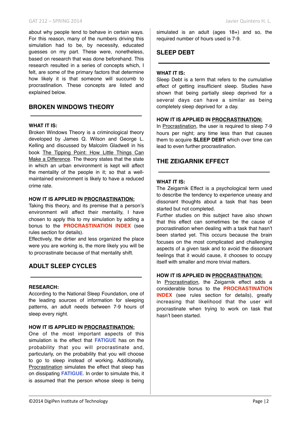about why people tend to behave in certain ways. For this reason, many of the numbers driving this simulation had to be, by necessity, educated guesses on my part. These were, nonetheless, based on research that was done beforehand. This research resulted in a series of concepts which, I felt, are some of the primary factors that determine how likely it is that someone will succumb to procrastination. These concepts are listed and explained below.

# **BROKEN WINDOWS THEORY**

#### **WHAT IT IS:**

Broken Windows Theory is a criminological theory developed by James Q. Wilson and George L. Kelling and discussed by Malcolm Gladwell in his book The Tipping Point: How Little Things Can Make a Difference. The theory states that the state in which an urban environment is kept will affect the mentality of the people in it; so that a wellmaintained environment is likely to have a reduced crime rate.

#### **HOW IT IS APPLIED IN PROCRASTINATION:**

Taking this theory, and its premise that a person's environment will affect their mentality, I have chosen to apply this to my simulation by adding a bonus to the **PROCRASTINATION INDEX** (see rules section for details).

Effectively, the dirtier and less organized the place were you are working is, the more likely you will be to procrastinate because of that mentality shift.

# **ADULT SLEEP CYCLES**

#### **RESEARCH:**

According to the National Sleep Foundation, one of the leading sources of information for sleeping patterns, an adult needs between 7-9 hours of sleep every night.

#### **HOW IT IS APPLIED IN PROCRASTINATION:**

One of the most important aspects of this simulation is the effect that **FATIGUE** has on the probability that you will procrastinate and, particularly, on the probability that you will choose to go to sleep instead of working. Additionally, Procrastination simulates the effect that sleep has on dissipating **FATIGUE**. In order to simulate this, it is assumed that the person whose sleep is being

simulated is an adult (ages 18+) and so, the required number of hours used is 7-9.

# **SLEEP DEBT**

## **WHAT IT IS:**

Sleep Debt is a term that refers to the cumulative effect of getting insufficient sleep. Studies have shown that being partially sleep deprived for a several days can have a similar as being completely sleep deprived for a day.

### **HOW IT IS APPLIED IN PROCRASTINATION:**

In Procrastination, the user is required to sleep 7-9 hours per night; any time less than that causes them to acquire **SLEEP DEBT** which over time can lead to even further procrastination.

# **THE ZEIGARNIK EFFECT**

### **WHAT IT IS:**

The Zeigarnik Effect is a psychological term used to describe the tendency to experience uneasy and dissonant thoughts about a task that has been started but not completed.

Further studies on this subject have also shown that this effect can sometimes be the cause of procrastination when dealing with a task that hasn't been started yet. This occurs because the brain focuses on the most complicated and challenging aspects of a given task and to avoid the dissonant feelings that it would cause, it chooses to occupy itself with smaller and more trivial matters.

## **HOW IT IS APPLIED IN PROCRASTINATION:**

In Procrastination, the Zeigarnik effect adds a considerable bonus to the **PROCRASTINATION INDEX** (see rules section for details), greatly increasing that likelihood that the user will procrastinate when trying to work on task that hasn't been started.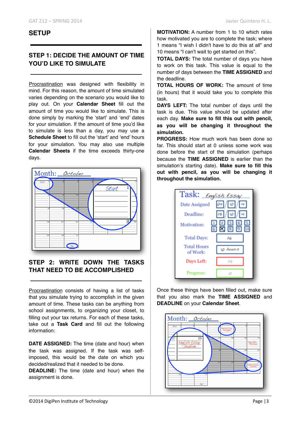# **SETUP**

## **STEP 1: DECIDE THE AMOUNT OF TIME YOU'D LIKE TO SIMULATE**

Procrastination was designed with flexibility in mind. For this reason, the amount of time simulated varies depending on the scenario you would like to play out. On your **Calendar Sheet** fill out the amount of time you would like to simulate. This is done simply by marking the 'start' and 'end' dates for your simulation. If the amount of time you'd like to simulate is less than a day, you may use a **Schedule Sheet** to fill out the 'start' and 'end' hours for your simulation. You may also use multiple **Calendar Sheets** if the time exceeds thirty-one days.



# **STEP 2: WRITE DOWN THE TASKS THAT NEED TO BE ACCOMPLISHED**

Procrastination consists of having a list of tasks that you simulate trying to accomplish in the given amount of time. These tasks can be anything from school assignments, to organizing your closet, to filling out your tax returns. For each of these tasks, take out a **Task Card** and fill out the following information:

**DATE ASSIGNED:** The time (date and hour) when the task was assigned. If the task was selfimposed, this would be the date on which you decided/realized that it needed to be done.

**DEADLINE:** The time (date and hour) when the assignment is done.

**MOTIVATION:** A number from 1 to 10 which rates how motivated you are to complete the task; where 1 means "I wish I didn't have to do this at all" and 10 means "I can't wait to get started on this".

**TOTAL DAYS:** The total number of days you have to work on this task. This value is equal to the number of days between the **TIME ASSIGNED** and the deadline.

**TOTAL HOURS OF WORK:** The amount of time (in hours) that it would take you to complete this task.

**DAYS LEFT:** The total number of days until the task is due. This value should be updated after each day. **Make sure to fill this out with pencil, as you will be changing it throughout the simulation.**

**PROGRESS:** How much work has been done so far. This should start at 0 unless some work was done before the start of the simulation (perhaps because the **TIME ASSIGNED** is earlier than the simulation's starting date). **Make sure to fill this out with pencil, as you will be changing it throughout the simulation.**



Once these things have been filled out, make sure that you also mark the **TIME ASSIGNED** and **DEADLINE** on your **Calendar Sheet**.

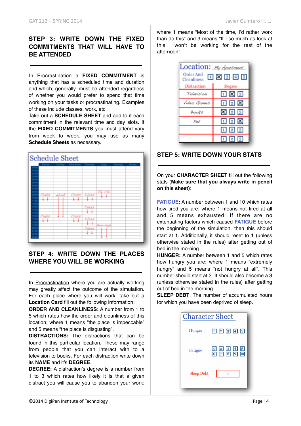# **STEP 3: WRITE DOWN THE FIXED COMMITMENTS THAT WILL HAVE TO BE ATTENDED**

In Procrastination a **FIXED COMMITMENT** is anything that has a scheduled time and duration and which, generally, must be attended regardless of whether you would prefer to spend that time working on your tasks or procrastinating. Examples of these include classes, work, etc.

Take out a **SCHEDULE SHEET** and add to it each commitment in the relevant time and day slots. If the **FIXED COMMITMENTS** you must attend vary from week to week, you may use as many **Schedule Sheets** as necessary.



# **STEP 4: WRITE DOWN THE PLACES WHERE YOU WILL BE WORKING**

In Procrastination where you are actually working may greatly affect the outcome of the simulation. For each place where you will work, take out a **Location Card** fill out the following information:

**ORDER AND CLEANLINESS:** A number from 1 to 5 which rates how the order and cleanliness of this location; where 1 means "the place is impeccable" and 5 means "the place is disgusting".

**DISTRACTIONS:** The distractions that can be found in this particular location. These may range from people that you can interact with to a television to books. For each distraction write down its **NAME** and it's **DEGREE**.

**DEGREE:** A distraction's degree is a number from 1 to 3 which rates how likely it is that a given distract you will cause you to abandon your work; where 1 means "Most of the time, I'd rather work than do this" and 3 means "If I so much as look at this I won't be working for the rest of the afternoon".

| Ocation: My Apartment<br>Order And<br><b>口図図 4 5</b><br>Cleanliness |                           |  |  |  |  |
|---------------------------------------------------------------------|---------------------------|--|--|--|--|
| Distraction                                                         | Degree                    |  |  |  |  |
| Television                                                          | $\Box$ $\times$ $\Box$    |  |  |  |  |
| Video Games                                                         | 口回区                       |  |  |  |  |
| Books                                                               | X 2 3                     |  |  |  |  |
| Pat                                                                 | $\blacksquare$ 2 $\times$ |  |  |  |  |
|                                                                     | 123                       |  |  |  |  |
|                                                                     | 2                         |  |  |  |  |

# **STEP 5: WRITE DOWN YOUR STATS**

On your **CHARACTER SHEET** fill out the following stats (**Make sure that you always write in pencil on this sheet)**:

**FATIGUE:** A number between 1 and 10 which rates how tired you are; where 1 means not tired at all and 5 means exhausted. If there are no extenuating factors which caused **FATIGUE** before the beginning of the simulation, then this should start at 1. Additionally, it should reset to 1 (unless otherwise stated in the rules) after getting out of bed in the morning.

**HUNGER:** A number between 1 and 5 which rates how hungry you are; where 1 means "extremely hungry" and 5 means "not hungry at all". This number should start at 3. It should also become a 3 (unless otherwise stated in the rules) after getting out of bed in the morning.

**SLEEP DEBT:** The number of accumulated hours for which you have been deprived of sleep.

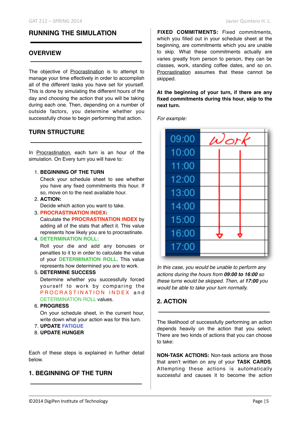# **RUNNING THE SIMULATION**

## **OVERVIEW**

The objective of Procrastination is to attempt to manage your time effectively in order to accomplish all of the different tasks you have set for yourself. This is done by simulating the different hours of the day and choosing the action that you will be taking during each one. Then, depending on a number of outside factors, you determine whether you successfully chose to begin performing that action.

# **TURN STRUCTURE**

In Procrastination, each turn is an hour of the simulation. On Every turn you will have to:

### 1. **BEGINNING OF THE TURN**

Check your schedule sheet to see whether you have any fixed commitments this hour. If so, move on to the next available hour.

- 2. **ACTION:**  Decide which action you want to take.
- 3. **PROCRASTINATION INDEX:** Calculate the **PROCRASTINATION INDEX** by adding all of the stats that affect it. This value represents how likely you are to procrastinate.
- 4. **DETERMINATION ROLL:**

Roll your die and add any bonuses or penalties to it to in order to calculate the value of your **DETERMINATION ROLL**. This value represents how determined you are to work.

## 5. **DETERMINE SUCCESS**

Determine whether you successfully forced yourself to work by comparing the P R O C R A S T I N A T I O N I N D E X and DETERMINATION ROLL values.

6. **PROGRESS**

On your schedule sheet, in the current hour, write down what your action was for this turn.

- 7. **UPDATE FATIGUE**
- 8. **UPDATE HUNGER**

Each of these steps is explained in further detail below.

## **1. BEGINNING OF THE TURN**

**FIXED COMMITMENTS:** Fixed commitments, which you filled out in your schedule sheet at the beginning, are commitments which you are unable to skip. What these commitments actually are varies greatly from person to person, they can be classes, work, standing coffee dates, and so on. Procrastination assumes that these cannot be skipped.

**At the beginning of your turn, if there are any fixed commitments during this hour, skip to the next turn.**

*For example:*



*In this case, you would be unable to perform any actions during the hours from 09:00 to 16:00 so these turns would be skipped. Then, at 17:00 you would be able to take your turn normally.*

# **2. ACTION**

The likelihood of successfully performing an action depends heavily on the action that you select. There are two kinds of actions that you can choose to take:

**NON-TASK ACTIONS:** Non-task actions are those that aren't written on any of your **TASK CARDS**. Attempting these actions is automatically successful and causes it to become the action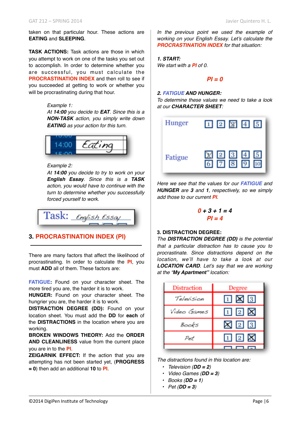taken on that particular hour. These actions are **EATING** and **SLEEPING**.

**TASK ACTIONS:** Task actions are those in which you attempt to work on one of the tasks you set out to accomplish. In order to determine whether you are successful, you must calculate the **PROCRASTINATION INDEX** and then roll to see if you succeeded at getting to work or whether you will be procrastinating during that hour.

#### *Example 1:*

*At 14:00 you decide to EAT. Since this is a NON-TASK action, you simply write down EATING as your action for this turn.*



#### *Example 2:*

*At 14:00 you decide to try to work on your English Essay. Since this is a TASK action, you would have to continue with the turn to determine whether you successfully forced yourself to work.*

$$
\fbox{Task: } \underbrace{\mathcal{E}\mathit{log} \mathit{loss}\mathit{arg}}
$$

## **3. PROCRASTINATION INDEX (PI)**

There are many factors that affect the likelihood of procrastinating. In order to calculate the **PI**, you must **ADD** all of them. These factors are:

**FATIGUE:** Found on your character sheet. The more tired you are, the harder it is to work.

**HUNGER:** Found on your character sheet. The hungrier you are, the harder it is to work.

**DISTRACTION DEGREE (DD):** Found on your location sheet. You must add the **DD** for **each** of the **DISTRACTIONS** in the location where you are working.

**BROKEN WINDOWS THEORY:** Add the **ORDER AND CLEANLINESS** value from the current place you are in to the **PI**.

**ZEIGARNIK EFFECT:** If the action that you are attempting has not been started yet, (**PROGRESS = 0**) then add an additional **10** to **PI**.

*In the previous point we used the example of working on your English Essay. Let's calculate the PROCRASTINATION INDEX for that situation:*

*1. START: We start with a PI of 0.*

### *PI = 0*

#### *2. FATIGUE AND HUNGER:*

*To determine these values we need to take a look at our CHARACTER SHEET:*



*Here we see that the values for our FATIGUE and HUNGER are 3 and 1, respectively, so we simply add those to our current PI.*

$$
0+3+1=4
$$
  

$$
Pl = 4
$$

### **3. DISTRACTION DEGREE:**

*The DISTRACTION DEGREE (DD) is the potential that a particular distraction has to cause you to procrastinate. Since distractions depend on the location, we'll have to take a look at our LOCATION CARD. Let's say that we are working at the "My Apartment" location:*

| Distraction | Degree                  |  |  |
|-------------|-------------------------|--|--|
| Television  | $1 \times 3$            |  |  |
| Video Games | 12X                     |  |  |
| Books       | $\boxtimes$ 2 3         |  |  |
| Pot         | $\boxdot$ 2 $\boxtimes$ |  |  |
|             |                         |  |  |

*The distractions found in this location are:*

- *• Television (DD = 2)*
- *• Video Games (DD = 3)*
- *• Books (DD = 1)*
- *• Pet (DD = 3)*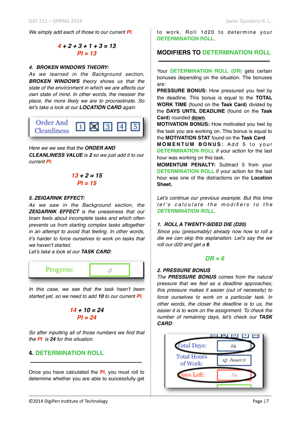*We simply add each of those to our current PI.*

$$
4 + 2 + 3 + 1 + 3 = 13
$$
  
Pl = 13

#### *4. BROKEN WINDOWS THEORY:*

*As we learned in the Background section, BROKEN WINDOWS theory shows us that the state of the environment in which we are affects our own state of mind. In other words, the messier the place, the more likely we are to procrastinate. So let's take a look at our LOCATION CARD again*



### *Here we we see that the ORDER AND*

*CLEANLINESS VALUE is 2 so we just add it to our current PI.*

$$
13 + 2 = 15
$$
  
Pl = 15

#### *5. ZEIGARNIK EFFECT:*

*As we saw in the Background section, the ZEIGARNIK EFFECT is the uneasiness that our brain feels about incomplete tasks and which often prevents us from starting complex tasks altogether in an attempt to avoid that feeling. In other words, it's harder to force ourselves to work on tasks that we haven't started.* 

*Let's take a look at our TASK CARD:*



*In this case, we see that the task hasn't been started yet, so we need to add 10 to our current PI.*

$$
14 + 10 = 24
$$
  

$$
PI = 24
$$

*So after inputting all of those numbers we find that the PI is 24 for this situation.*

## **4. DETERMINATION ROLL**

Once you have calculated the **PI**, you must roll to determine whether you are able to successfully get to work. Roll 1d20 to determine your **DETERMINATION ROLL**.

## **MODIFIERS TO DETERMINATION ROLL**

Your **DETERMINATION ROLL (DR)** gets certain bonuses depending on the situation. The bonuses are:

**PRESSURE BONUS:** How pressured you feel by the deadline. This bonus is equal to the **TOTAL WORK TIME** (found on the **Task Card**) divided by the **DAYS UNTIL DEADLINE** (found on the **Task Card**) rounded **down**.

**MOTIVATION BONUS:** How motivated you feel by the task you are working on. This bonus is equal to the **MOTIVATION STAT** found on the **Task Card**.

**MOMENTUM BONUS:** Add 5 to your **DETERMINATION ROLL** if your action for the last hour was working on this task.

**MOMENTUM PENALTY:** Subtract 5 from your **DETERMINATION ROLL** if your action for the last hour was one of the distractions on the **Location Sheet.**

*Let's continue our previous example. But this time let's calculate the modifiers to the DETERMINATION ROLL.*

#### *1. ROLL A TWENTY-SIDED DIE (D20)*

*Since you (presumably) already now how to roll a die we can skip this explanation. Let's say the we roll our d20 and get a 6.*

#### *DR = 6*

#### *2. PRESSURE BONUS*

*The PRESSURE BONUS comes from the natural pressure that we feel as a deadline approaches; this pressure makes it easier (out of necessity) to force ourselves to work on a particular task. In other words, the closer the deadline is to us, the easier it is to work on the assignment. To check the number of remaining days, let's check our TASK CARD:*

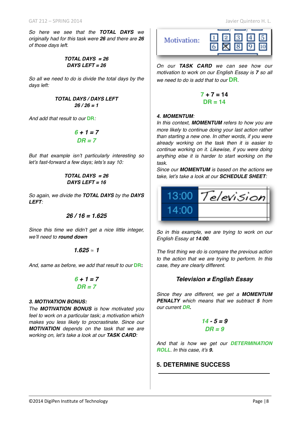*So here we see that the TOTAL DAYS we originally had for this task were 26 and there are 26 of those days left.*

#### *TOTAL DAYS = 26 DAYS LEFT = 26*

*So all we need to do is divide the total days by the days left:*

> *TOTAL DAYS / DAYS LEFT 26 / 26 = 1*

*And add that result to our* **DR***:*

$$
\begin{array}{c}\n6+1=7\\
DR=7\n\end{array}
$$

*But that example isn't particularly interesting so let's fast-forward a few days; lets's say 10:*

$$
TOTAL DAYS = 26
$$
  

$$
DAYS LEFT = 16
$$

*So again, we divide the TOTAL DAYS by the DAYS LEFT:*

$$
26/16=1.625
$$

*Since this time we didn't get a nice little integer, we'll need to round down*

$$
1.625\approx1
$$

And, same as before, we add that result to our **DR:** 

$$
\begin{array}{c} 6+1=7 \\ DR=7 \end{array}
$$

### *3. MOTIVATION BONUS:*

*The MOTIVATION BONUS is how motivated you feel to work on a particular task; a motivation which makes you less likely to procrastinate. Since our MOTIVATION depends on the task that we are working on, let's take a look at our TASK CARD:*



*On our TASK CARD we can see how our motivation to work on our English Essay is 7 so all we need to do is add that to our* **DR***.*

$$
7 + 7 = 14
$$
  
DR = 14

### *4. MOMENTUM:*

*In this context, MOMENTUM refers to how you are more likely to continue doing your last action rather than starting a new one. In other words, if you were already working on the task then it is easier to continue working on it. Likewise, if you were doing anything else it is harder to start working on the task.* 

*Since our MOMENTUM is based on the actions we take, let's take a look at our SCHEDULE SHEET:*

$$
\begin{array}{|c|c|}\n\hline\n13:00 & \text{Te/evision} \\
\hline\n14:00 & \text{Iolevision} \\
\hline\n\end{array}
$$

*So in this example, we are trying to work on our English Essay at 14:00.* 

*The first thing we do is compare the previous action to the action that we are trying to perform. In this case, they are clearly different.*

## *Television* **≠** *English Essay*

*Since they are different, we get a MOMENTUM PENALTY which means that we subtract 5 from our current DR.*

$$
14 - 5 = 9
$$
  

$$
DR = 9
$$

*And that is how we get our DETERMINATION ROLL. In this case, it's 9.*

## **5. DETERMINE SUCCESS**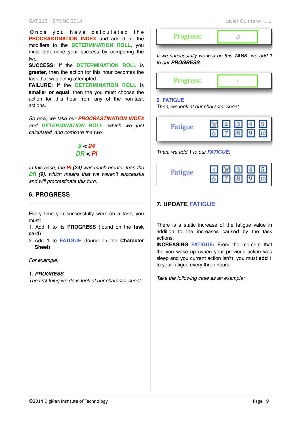Once you have calculated the **PROCRASTINATION INDEX** and added all the modifiers to the **DETERMINATION ROLL**, you must determine your success by comparing the two.

**SUCCESS:** If the **DETERMINATION ROLL** is **greater**, then the action for this hour becomes the task that was being attempted.

**FAILURE:** If the **DETERMINATION ROLL** is **smaller or equal**, then the you must choose the action for this hour from any of the non-task actions.

*So now, we take our PROCRASTINATION INDEX and DETERMINATION ROLL, which we just calculated, and compare the two.*

# *9 < 24 DR < PI*

*In this case, the PI (24) was much greater than the DR (9), which means that we weren't successful and will procrastinate this turn.*

# **6. PROGRESS**

Every time you successfully work on a task, you must:

1. Add 1 to its **PROGRESS** (found on the **task card**)

2. Add 1 to **FATIGUE** (found on the **Character Sheet**)

*For example:*

#### *1. PROGRESS*

*The first thing we do is look at our character sheet:*



#### **2. FATIGUE**

*Then, we look at our character sheet:*

| Fatigue | $\begin{array}{ c c c c c }\hline \hline \mathbb{X} & \mathbb{2} & \mathbb{3} & \mathbb{4} & \mathbb{5} \\ \hline \hline \mathbb{6} & \mathbb{7} & \mathbb{8} & \mathbb{9} & \mathbb{10} \\ \hline \end{array}$ |  |  |  |  |
|---------|-----------------------------------------------------------------------------------------------------------------------------------------------------------------------------------------------------------------|--|--|--|--|
|---------|-----------------------------------------------------------------------------------------------------------------------------------------------------------------------------------------------------------------|--|--|--|--|

*Then, we add 1 to our FATIGUE:*

# **7. UPDATE FATIGUE**

There is a static increase of the fatigue value in addition to the increases caused by the task actions.

**INCREASING FATIGUE:** From the moment that the you wake up (when your previous action was sleep and you current action isn't), you must **add 1** to your fatigue every three hours.

*Take the following case as an example:*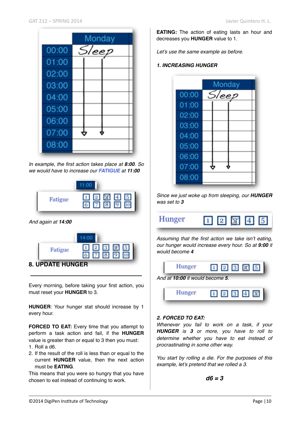|       | Monday |  |  |
|-------|--------|--|--|
| 00:00 | Sleep  |  |  |
| 01:00 |        |  |  |
| 02:00 |        |  |  |
| 03:00 |        |  |  |
| 04:00 |        |  |  |
| 05:00 |        |  |  |
| 06:00 |        |  |  |
| 07:00 |        |  |  |
| 08:00 |        |  |  |

*In example, the first action takes place at 8:00. So we would have to increase our FATIGUE at 11:00*



*And again at 14:00*



Every morning, before taking your first action, you must reset your **HUNGER** to 3.

**HUNGER**: Your hunger stat should increase by 1 every hour.

**FORCED TO EAT:** Every time that you attempt to perform a task action and fail, if the **HUNGER** value is greater than or equal to 3 then you must:

- 1. Roll a d6.
- 2. If the result of the roll is less than or equal to the current **HUNGER** value, then the next action must be **EATING**.

This means that you were so hungry that you have chosen to eat instead of continuing to work.

**EATING:** The action of eating lasts an hour and decreases you **HUNGER** value to 1.

*Let's use the same example as before.*

## *1. INCREASING HUNGER*



*Since we just woke up from sleeping, our HUNGER was set to 3*



*Assuming that the first action we take isn't eating, our hunger would increase every hour. So at 9:00 it would become 4*



## *2. FORCED TO EAT:*

*Whenever you fail to work on a task, if your HUNGER is 3 or more, you have to roll to determine whether you have to eat instead of procrastinating in some other way.*

*You start by rolling a die. For the purposes of this example, let's pretend that we rolled a 3.*

$$
d6=3
$$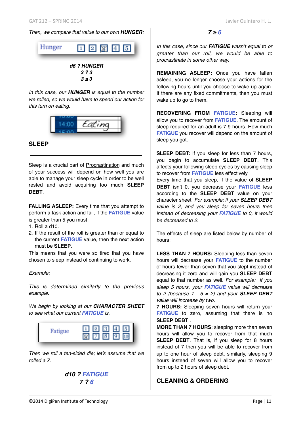### *Then, we compare that value to our own HUNGER:*



*In this case, our HUNGER is equal to the number we rolled, so we would have to spend our action for this turn on eating.*



## **SLEEP**

Sleep is a crucial part of Procrastination and much of your success will depend on how well you are able to manage your sleep cycle in order to be well rested and avoid acquiring too much **SLEEP DEBT**.

**FALLING ASLEEP:** Every time that you attempt to perform a task action and fail, if the **FATIGUE** value is greater than 5 you must:

- 1. Roll a d10.
- 2. If the result of the roll is greater than or equal to the current **FATIGUE** value, then the next action must be **SLEEP**.

This means that you were so tired that you have chosen to sleep instead of continuing to work.

#### *Example:*

*This is determined similarly to the previous example.*

*We begin by looking at our CHARACTER SHEET to see what our current FATIGUE is.*



*Then we roll a ten-sided die; let's assume that we rolled a 7.*

*d10 ? FATIGUE 7 ? 6*

 $7 ≥ 6$ 

*In this case, since our FATIGUE wasn't equal to or greater than our roll, we would be able to procrastinate in some other way.*

**REMAINING ASLEEP:** Once you have fallen asleep, you no longer choose your actions for the following hours until you choose to wake up again. If there are any fixed commitments, then you must wake up to go to them.

**RECOVERING FROM FATIGUE:** Sleeping will allow you to recover from **FATIGUE**. The amount of sleep required for an adult is 7-9 hours. How much **FATIGUE** you recover will depend on the amount of sleep you got.

**SLEEP DEBT:** If you sleep for less than 7 hours, you begin to accumulate **SLEEP DEBT**. This affects your following sleep cycles by causing sleep to recover from **FATIGUE** less effectively.

Every time that you sleep, if the value of **SLEEP DEBT** isn't 0, you decrease your **FATIGUE** less according to the **SLEEP DEBT** value on your character sheet. *For example: if your SLEEP DEBT value is 2, and you sleep for seven hours then instead of decreasing your FATIGUE to 0, it would be decreased to 2.*

The effects of sleep are listed below by number of hours:

**LESS THAN 7 HOURS:** Sleeping less than seven hours will decrease your **FATIGUE** to the number of hours fewer than seven that you slept instead of decreasing it zero and will gain you **SLEEP DEBT** equal to that number as well. *For example: if you sleep 5 hours, your FATIGUE value will decrease to 2 (because 7 - 5 = 2) and your SLEEP DEBT value will increase by two.*

**7 HOURS:** Sleeping seven hours will return your **FATIGUE** to zero, assuming that there is no **SLEEP DEBT** .

**MORE THAN 7 HOURS**: sleeping more than seven hours will allow you to recover from that much **SLEEP DEBT**. That is, if you sleep for 8 hours instead of 7 then you will be able to recover from up to one hour of sleep debt, similarly, sleeping 9 hours instead of seven will allow you to recover from up to 2 hours of sleep debt.

# **CLEANING & ORDERING**